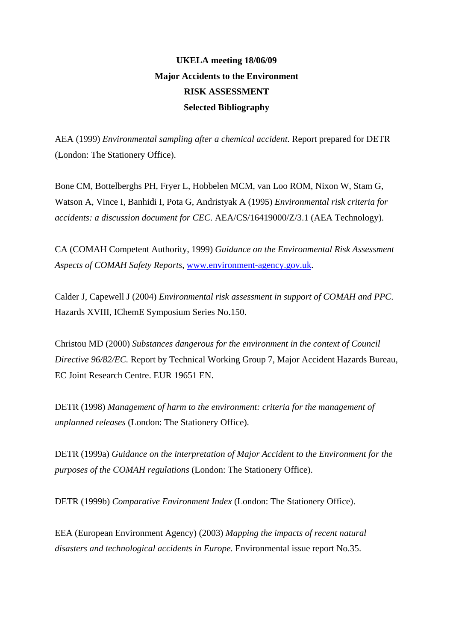## **UKELA meeting 18/06/09 Major Accidents to the Environment RISK ASSESSMENT Selected Bibliography**

AEA (1999) *Environmental sampling after a chemical accident.* Report prepared for DETR (London: The Stationery Office).

Bone CM, Bottelberghs PH, Fryer L, Hobbelen MCM, van Loo ROM, Nixon W, Stam G, Watson A, Vince I, Banhidi I, Pota G, Andristyak A (1995) *Environmental risk criteria for accidents: a discussion document for CEC*. AEA/CS/16419000/Z/3.1 (AEA Technology).

CA (COMAH Competent Authority, 1999) *Guidance on the Environmental Risk Assessment Aspects of COMAH Safety Reports*, [www.environment-agency.gov.uk.](http://www.environment-agency.gov.uk/)

Calder J, Capewell J (2004) *Environmental risk assessment in support of COMAH and PPC*. Hazards XVIII, IChemE Symposium Series No.150.

Christou MD (2000) *Substances dangerous for the environment in the context of Council Directive 96/82/EC.* Report by Technical Working Group 7, Major Accident Hazards Bureau, EC Joint Research Centre. EUR 19651 EN.

DETR (1998) *Management of harm to the environment: criteria for the management of unplanned releases* (London: The Stationery Office).

DETR (1999a) *Guidance on the interpretation of Major Accident to the Environment for the purposes of the COMAH regulations* (London: The Stationery Office).

DETR (1999b) *Comparative Environment Index* (London: The Stationery Office).

EEA (European Environment Agency) (2003) *Mapping the impacts of recent natural disasters and technological accidents in Europe.* Environmental issue report No.35.